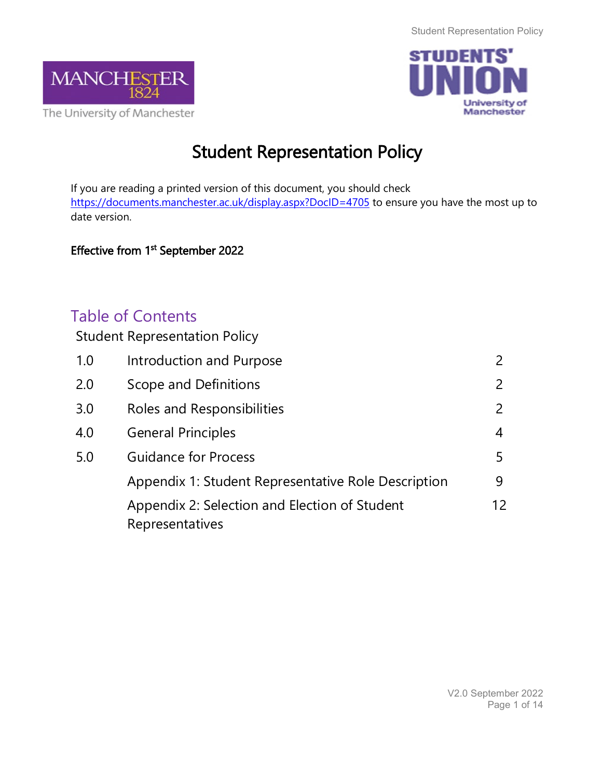



# Student Representation Policy

If you are reading a printed version of this document, you should check <https://documents.manchester.ac.uk/display.aspx?DocID=4705> to ensure you have the most up to date version.

## Effective from 1<sup>st</sup> September 2022

## Table of Contents

Student Representation Policy

| 1.0 | <b>Introduction and Purpose</b>                                  | $\mathcal{P}$             |
|-----|------------------------------------------------------------------|---------------------------|
| 2.0 | Scope and Definitions                                            | $\mathsf{2}^{\mathsf{2}}$ |
| 3.0 | Roles and Responsibilities                                       | $\mathsf{2}^{\mathsf{2}}$ |
| 4.0 | <b>General Principles</b>                                        | $\overline{4}$            |
| 5.0 | <b>Guidance for Process</b>                                      | 5                         |
|     | Appendix 1: Student Representative Role Description              | 9                         |
|     | Appendix 2: Selection and Election of Student<br>Representatives | 12                        |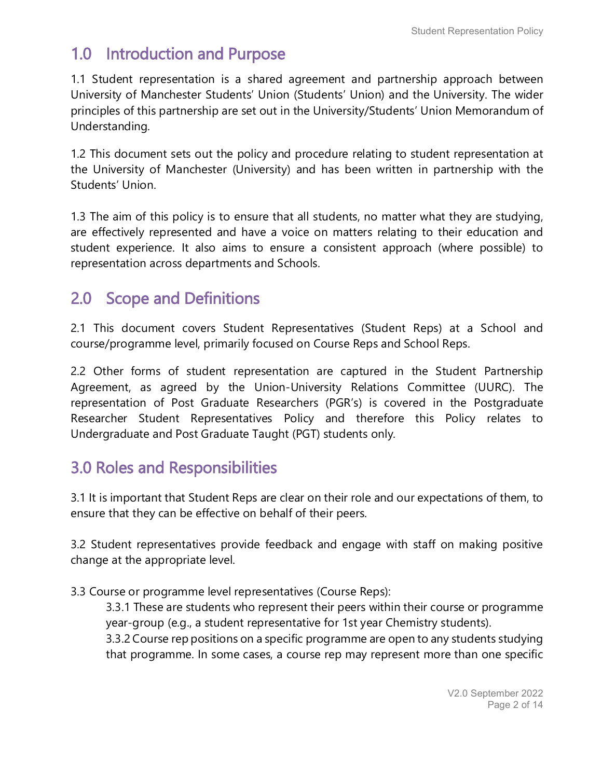# 1.0 Introduction and Purpose

1.1 Student representation is a shared agreement and partnership approach between University of Manchester Students' Union (Students' Union) and the University. The wider principles of this partnership are set out in the University/Students' Union Memorandum of Understanding.

1.2 This document sets out the policy and procedure relating to student representation at the University of Manchester (University) and has been written in partnership with the Students' Union.

1.3 The aim of this policy is to ensure that all students, no matter what they are studying, are effectively represented and have a voice on matters relating to their education and student experience. It also aims to ensure a consistent approach (where possible) to representation across departments and Schools.

## 2.0 Scope and Definitions

2.1 This document covers Student Representatives (Student Reps) at a School and course/programme level, primarily focused on Course Reps and School Reps.

2.2 Other forms of student representation are captured in the Student Partnership Agreement, as agreed by the Union-University Relations Committee (UURC). The representation of Post Graduate Researchers (PGR's) is covered in the Postgraduate Researcher Student Representatives Policy and therefore this Policy relates to Undergraduate and Post Graduate Taught (PGT) students only.

# 3.0 Roles and Responsibilities

3.1 It is important that Student Reps are clear on their role and our expectations of them, to ensure that they can be effective on behalf of their peers.

3.2 Student representatives provide feedback and engage with staff on making positive change at the appropriate level.

## 3.3 Course or programme level representatives (Course Reps):

3.3.1 These are students who represent their peers within their course or programme year-group (e.g., a student representative for 1st year Chemistry students). 3.3.2 Course rep positions on a specific programme are open to any students studying

that programme. In some cases, a course rep may represent more than one specific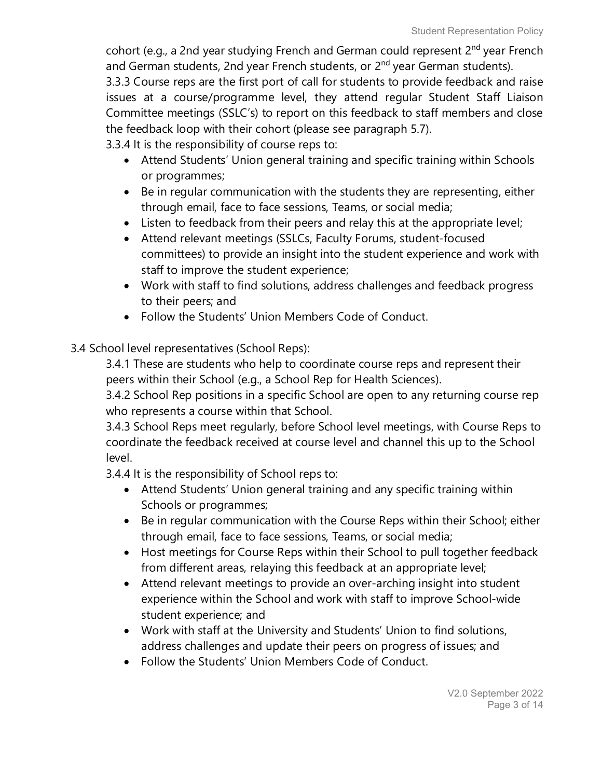cohort (e.g., a 2nd year studying French and German could represent  $2^{nd}$  year French and German students, 2nd year French students, or 2<sup>nd</sup> year German students). 3.3.3 Course reps are the first port of call for students to provide feedback and raise issues at a course/programme level, they attend regular Student Staff Liaison Committee meetings (SSLC's) to report on this feedback to staff members and close the feedback loop with their cohort (please see paragraph 5.7).

3.3.4 It is the responsibility of course reps to:

- Attend Students' Union general training and specific training within Schools or programmes;
- Be in regular communication with the students they are representing, either through email, face to face sessions, Teams, or social media;
- Listen to feedback from their peers and relay this at the appropriate level;
- Attend relevant meetings (SSLCs, Faculty Forums, student-focused committees) to provide an insight into the student experience and work with staff to improve the student experience;
- Work with staff to find solutions, address challenges and feedback progress to their peers; and
- Follow the Students' Union Members Code of Conduct.
- 3.4 School level representatives (School Reps):

3.4.1 These are students who help to coordinate course reps and represent their peers within their School (e.g., a School Rep for Health Sciences).

3.4.2 School Rep positions in a specific School are open to any returning course rep who represents a course within that School.

3.4.3 School Reps meet regularly, before School level meetings, with Course Reps to coordinate the feedback received at course level and channel this up to the School level.

3.4.4 It is the responsibility of School reps to:

- Attend Students' Union general training and any specific training within Schools or programmes;
- Be in regular communication with the Course Reps within their School; either through email, face to face sessions, Teams, or social media;
- Host meetings for Course Reps within their School to pull together feedback from different areas, relaying this feedback at an appropriate level;
- Attend relevant meetings to provide an over-arching insight into student experience within the School and work with staff to improve School-wide student experience; and
- Work with staff at the University and Students' Union to find solutions, address challenges and update their peers on progress of issues; and
- Follow the Students' Union Members Code of Conduct.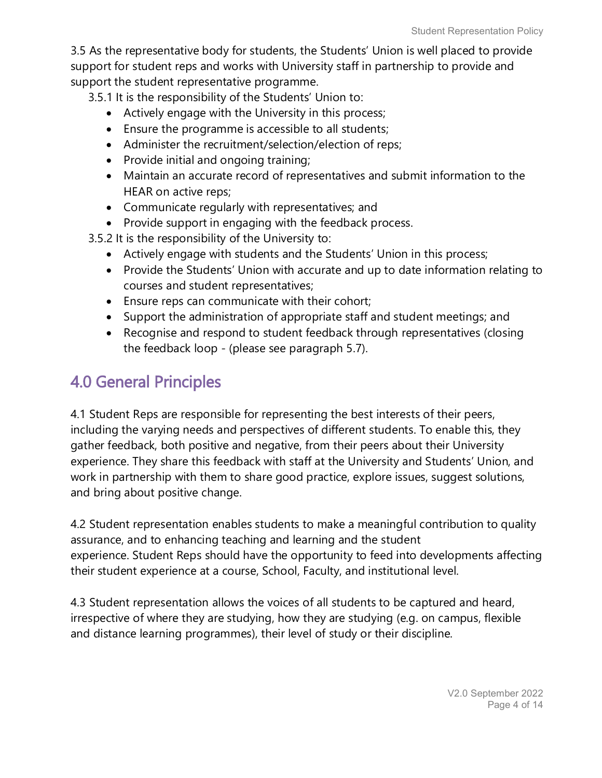3.5 As the representative body for students, the Students' Union is well placed to provide support for student reps and works with University staff in partnership to provide and support the student representative programme.

3.5.1 It is the responsibility of the Students' Union to:

- Actively engage with the University in this process;
- Ensure the programme is accessible to all students;
- Administer the recruitment/selection/election of reps;
- Provide initial and ongoing training;
- Maintain an accurate record of representatives and submit information to the HEAR on active reps;
- Communicate regularly with representatives; and
- Provide support in engaging with the feedback process.
- 3.5.2 It is the responsibility of the University to:
	- Actively engage with students and the Students' Union in this process;
	- Provide the Students' Union with accurate and up to date information relating to courses and student representatives;
	- Ensure reps can communicate with their cohort;
	- Support the administration of appropriate staff and student meetings; and
	- Recognise and respond to student feedback through representatives (closing the feedback loop - (please see paragraph 5.7).

# 4.0 General Principles

4.1 Student Reps are responsible for representing the best interests of their peers, including the varying needs and perspectives of different students. To enable this, they gather feedback, both positive and negative, from their peers about their University experience. They share this feedback with staff at the University and Students' Union, and work in partnership with them to share good practice, explore issues, suggest solutions, and bring about positive change.

4.2 Student representation enables students to make a meaningful contribution to quality assurance, and to enhancing teaching and learning and the student experience. Student Reps should have the opportunity to feed into developments affecting their student experience at a course, School, Faculty, and institutional level.

4.3 Student representation allows the voices of all students to be captured and heard, irrespective of where they are studying, how they are studying (e.g. on campus, flexible and distance learning programmes), their level of study or their discipline.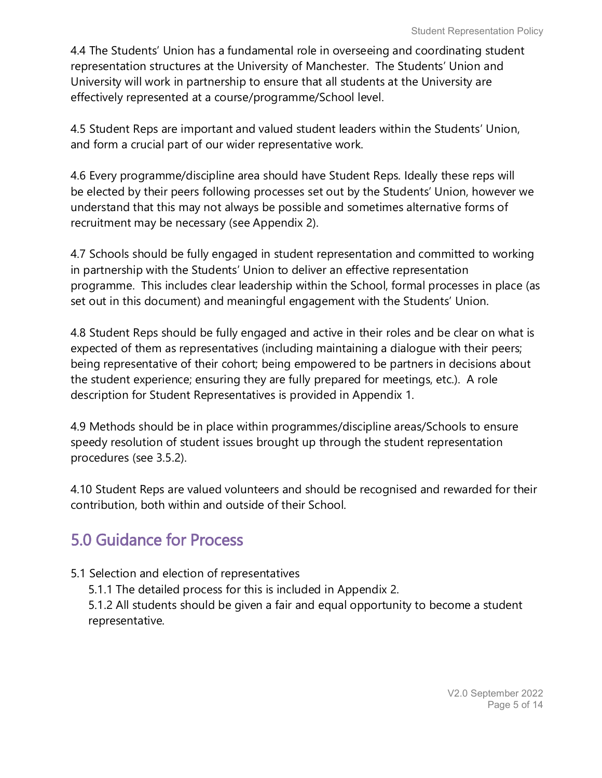4.4 The Students' Union has a fundamental role in overseeing and coordinating student representation structures at the University of Manchester. The Students' Union and University will work in partnership to ensure that all students at the University are effectively represented at a course/programme/School level.

4.5 Student Reps are important and valued student leaders within the Students' Union, and form a crucial part of our wider representative work.

4.6 Every programme/discipline area should have Student Reps. Ideally these reps will be elected by their peers following processes set out by the Students' Union, however we understand that this may not always be possible and sometimes alternative forms of recruitment may be necessary (see Appendix 2).

4.7 Schools should be fully engaged in student representation and committed to working in partnership with the Students' Union to deliver an effective representation programme. This includes clear leadership within the School, formal processes in place (as set out in this document) and meaningful engagement with the Students' Union.

4.8 Student Reps should be fully engaged and active in their roles and be clear on what is expected of them as representatives (including maintaining a dialogue with their peers; being representative of their cohort; being empowered to be partners in decisions about the student experience; ensuring they are fully prepared for meetings, etc.). A role description for Student Representatives is provided in Appendix 1.

4.9 Methods should be in place within programmes/discipline areas/Schools to ensure speedy resolution of student issues brought up through the student representation procedures (see 3.5.2).

4.10 Student Reps are valued volunteers and should be recognised and rewarded for their contribution, both within and outside of their School.

# 5.0 Guidance for Process

## 5.1 Selection and election of representatives

5.1.1 The detailed process for this is included in Appendix 2.

5.1.2 All students should be given a fair and equal opportunity to become a student representative.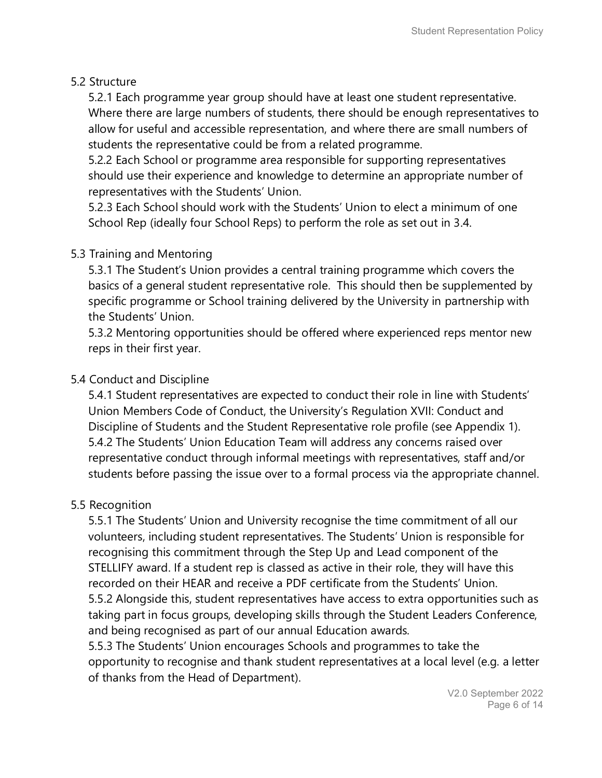#### 5.2 Structure

5.2.1 Each programme year group should have at least one student representative. Where there are large numbers of students, there should be enough representatives to allow for useful and accessible representation, and where there are small numbers of students the representative could be from a related programme.

5.2.2 Each School or programme area responsible for supporting representatives should use their experience and knowledge to determine an appropriate number of representatives with the Students' Union.

5.2.3 Each School should work with the Students' Union to elect a minimum of one School Rep (ideally four School Reps) to perform the role as set out in 3.4.

#### 5.3 Training and Mentoring

5.3.1 The Student's Union provides a central training programme which covers the basics of a general student representative role. This should then be supplemented by specific programme or School training delivered by the University in partnership with the Students' Union.

5.3.2 Mentoring opportunities should be offered where experienced reps mentor new reps in their first year.

#### 5.4 Conduct and Discipline

5.4.1 Student representatives are expected to conduct their role in line with Students' Union Members Code of Conduct, the University's Regulation XVII: Conduct and Discipline of Students and the Student Representative role profile (see Appendix 1). 5.4.2 The Students' Union Education Team will address any concerns raised over representative conduct through informal meetings with representatives, staff and/or students before passing the issue over to a formal process via the appropriate channel.

## 5.5 Recognition

5.5.1 The Students' Union and University recognise the time commitment of all our volunteers, including student representatives. The Students' Union is responsible for recognising this commitment through the Step Up and Lead component of the STELLIFY award. If a student rep is classed as active in their role, they will have this recorded on their HEAR and receive a PDF certificate from the Students' Union.

5.5.2 Alongside this, student representatives have access to extra opportunities such as taking part in focus groups, developing skills through the Student Leaders Conference, and being recognised as part of our annual Education awards.

5.5.3 The Students' Union encourages Schools and programmes to take the opportunity to recognise and thank student representatives at a local level (e.g. a letter of thanks from the Head of Department).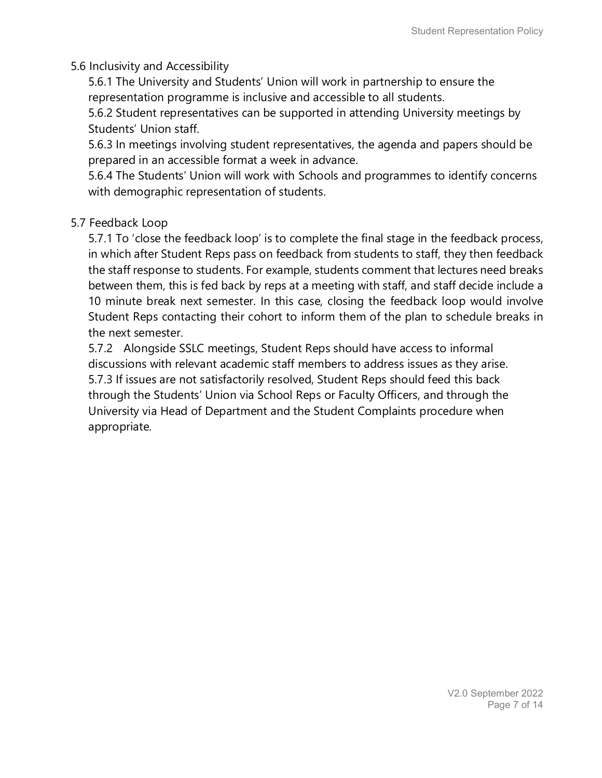#### 5.6 Inclusivity and Accessibility

5.6.1 The University and Students' Union will work in partnership to ensure the representation programme is inclusive and accessible to all students.

5.6.2 Student representatives can be supported in attending University meetings by Students' Union staff.

5.6.3 In meetings involving student representatives, the agenda and papers should be prepared in an accessible format a week in advance.

5.6.4 The Students' Union will work with Schools and programmes to identify concerns with demographic representation of students.

#### 5.7 Feedback Loop

5.7.1 To 'close the feedback loop' is to complete the final stage in the feedback process, in which after Student Reps pass on feedback from students to staff, they then feedback the staff response to students. For example, students comment that lectures need breaks between them, this is fed back by reps at a meeting with staff, and staff decide include a 10 minute break next semester. In this case, closing the feedback loop would involve Student Reps contacting their cohort to inform them of the plan to schedule breaks in the next semester.

5.7.2 Alongside SSLC meetings, Student Reps should have access to informal discussions with relevant academic staff members to address issues as they arise. 5.7.3 If issues are not satisfactorily resolved, Student Reps should feed this back through the Students' Union via School Reps or Faculty Officers, and through the University via Head of Department and the Student Complaints procedure when appropriate.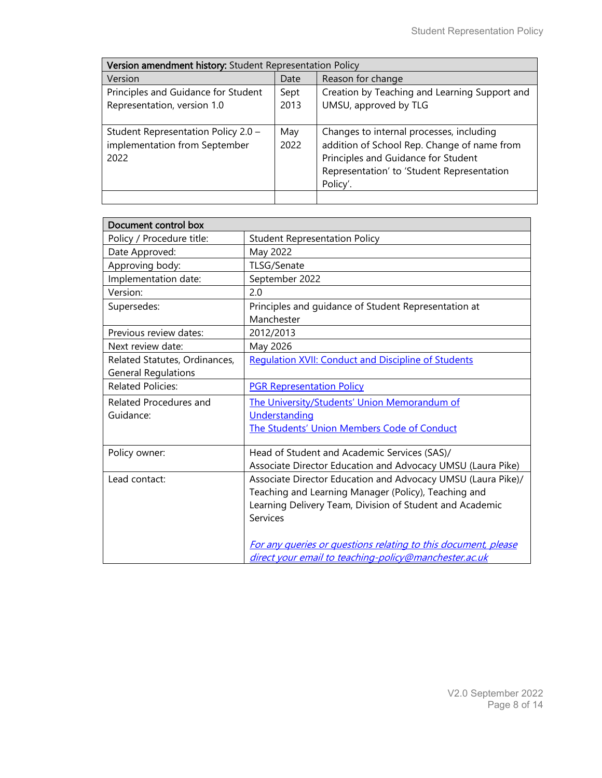| Version amendment history: Student Representation Policy                     |              |                                                                                                                                                                                          |  |  |
|------------------------------------------------------------------------------|--------------|------------------------------------------------------------------------------------------------------------------------------------------------------------------------------------------|--|--|
| Version                                                                      | Date         | Reason for change                                                                                                                                                                        |  |  |
| Principles and Guidance for Student<br>Representation, version 1.0           | Sept<br>2013 | Creation by Teaching and Learning Support and<br>UMSU, approved by TLG                                                                                                                   |  |  |
| Student Representation Policy 2.0 -<br>implementation from September<br>2022 | May<br>2022  | Changes to internal processes, including<br>addition of School Rep. Change of name from<br>Principles and Guidance for Student<br>Representation' to 'Student Representation<br>Policy'. |  |  |
|                                                                              |              |                                                                                                                                                                                          |  |  |

| Document control box          |                                                                    |  |  |  |
|-------------------------------|--------------------------------------------------------------------|--|--|--|
| Policy / Procedure title:     | <b>Student Representation Policy</b>                               |  |  |  |
| Date Approved:                | May 2022                                                           |  |  |  |
| Approving body:               | TLSG/Senate                                                        |  |  |  |
| Implementation date:          | September 2022                                                     |  |  |  |
| Version:                      | 2.0                                                                |  |  |  |
| Supersedes:                   | Principles and guidance of Student Representation at<br>Manchester |  |  |  |
| Previous review dates:        | 2012/2013                                                          |  |  |  |
| Next review date:             | May 2026                                                           |  |  |  |
| Related Statutes, Ordinances, | <b>Regulation XVII: Conduct and Discipline of Students</b>         |  |  |  |
| <b>General Regulations</b>    |                                                                    |  |  |  |
| <b>Related Policies:</b>      | <b>PGR Representation Policy</b>                                   |  |  |  |
| Related Procedures and        | The University/Students' Union Memorandum of                       |  |  |  |
| Guidance:                     | Understanding                                                      |  |  |  |
|                               | The Students' Union Members Code of Conduct                        |  |  |  |
| Policy owner:                 | Head of Student and Academic Services (SAS)/                       |  |  |  |
|                               | Associate Director Education and Advocacy UMSU (Laura Pike)        |  |  |  |
| Lead contact:                 | Associate Director Education and Advocacy UMSU (Laura Pike)/       |  |  |  |
|                               | Teaching and Learning Manager (Policy), Teaching and               |  |  |  |
|                               | Learning Delivery Team, Division of Student and Academic           |  |  |  |
|                               | <b>Services</b>                                                    |  |  |  |
|                               |                                                                    |  |  |  |
|                               | For any queries or questions relating to this document, please     |  |  |  |
|                               | direct your email to teaching-policy@manchester.ac.uk              |  |  |  |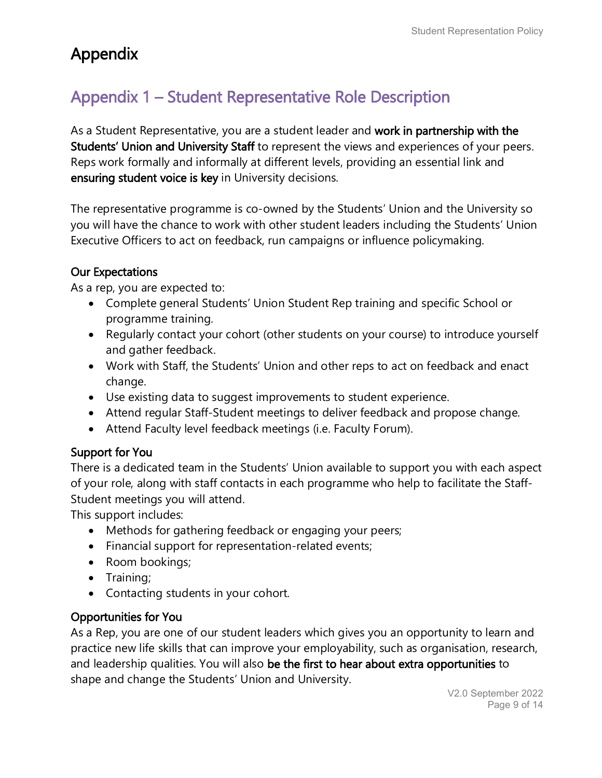# Appendix

# Appendix 1 – Student Representative Role Description

As a Student Representative, you are a student leader and work in partnership with the Students' Union and University Staff to represent the views and experiences of your peers. Reps work formally and informally at different levels, providing an essential link and ensuring student voice is key in University decisions.

The representative programme is co-owned by the Students' Union and the University so you will have the chance to work with other student leaders including the Students' Union Executive Officers to act on feedback, run campaigns or influence policymaking.

#### Our Expectations

As a rep, you are expected to:

- Complete general Students' Union Student Rep training and specific School or programme training.
- Regularly contact your cohort (other students on your course) to introduce yourself and gather feedback.
- Work with Staff, the Students' Union and other reps to act on feedback and enact change.
- Use existing data to suggest improvements to student experience.
- Attend regular Staff-Student meetings to deliver feedback and propose change.
- Attend Faculty level feedback meetings (i.e. Faculty Forum).

## Support for You

There is a dedicated team in the Students' Union available to support you with each aspect of your role, along with staff contacts in each programme who help to facilitate the Staff-Student meetings you will attend.

This support includes:

- Methods for gathering feedback or engaging your peers;
- Financial support for representation-related events;
- Room bookings;
- Training;
- Contacting students in your cohort.

## Opportunities for You

As a Rep, you are one of our student leaders which gives you an opportunity to learn and practice new life skills that can improve your employability, such as organisation, research, and leadership qualities. You will also be the first to hear about extra opportunities to shape and change the Students' Union and University.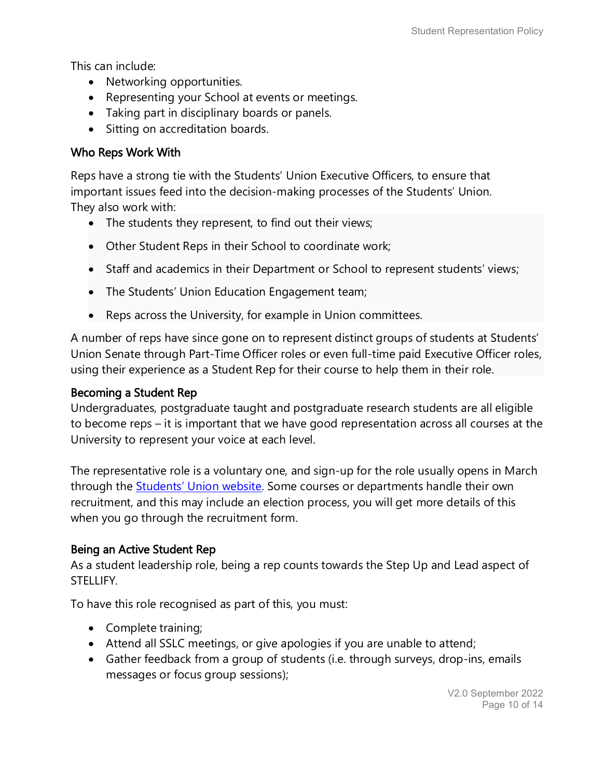This can include:

- Networking opportunities.
- Representing your School at events or meetings.
- Taking part in disciplinary boards or panels.
- Sitting on accreditation boards.

#### Who Reps Work With

Reps have a strong tie with the Students' Union Executive Officers, to ensure that important issues feed into the decision-making processes of the Students' Union. They also work with:

- The students they represent, to find out their views;
- Other Student Reps in their School to coordinate work;
- Staff and academics in their Department or School to represent students' views;
- The Students' Union Education Engagement team;
- Reps across the University, for example in Union committees.

A number of reps have since gone on to represent distinct groups of students at Students' Union Senate through Part-Time Officer roles or even full-time paid Executive Officer roles, using their experience as a Student Rep for their course to help them in their role.

#### Becoming a Student Rep

Undergraduates, postgraduate taught and postgraduate research students are all eligible to become reps – it is important that we have good representation across all courses at the University to represent your voice at each level.

The representative role is a voluntary one, and sign-up for the role usually opens in March through the [Students' Union website.](https://manchesterstudentsunion.com/reps) Some courses or departments handle their own recruitment, and this may include an election process, you will get more details of this when you go through the recruitment form.

#### Being an Active Student Rep

As a student leadership role, being a rep counts towards the Step Up and Lead aspect of STELLIFY.

To have this role recognised as part of this, you must:

- Complete training;
- Attend all SSLC meetings, or give apologies if you are unable to attend;
- Gather feedback from a group of students (i.e. through surveys, drop-ins, emails messages or focus group sessions);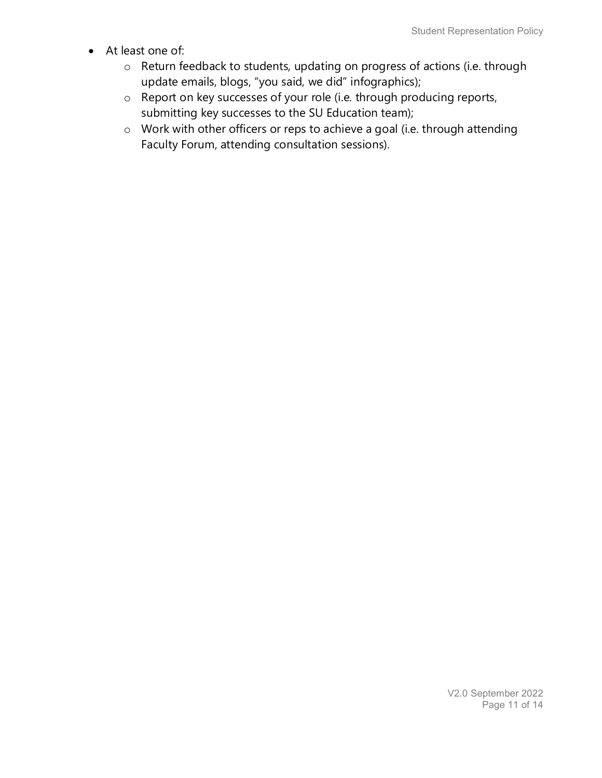- At least one of:
	- o Return feedback to students, updating on progress of actions (i.e. through update emails, blogs, "you said, we did" infographics);
	- o Report on key successes of your role (i.e. through producing reports, submitting key successes to the SU Education team);
	- o Work with other officers or reps to achieve a goal (i.e. through attending Faculty Forum, attending consultation sessions).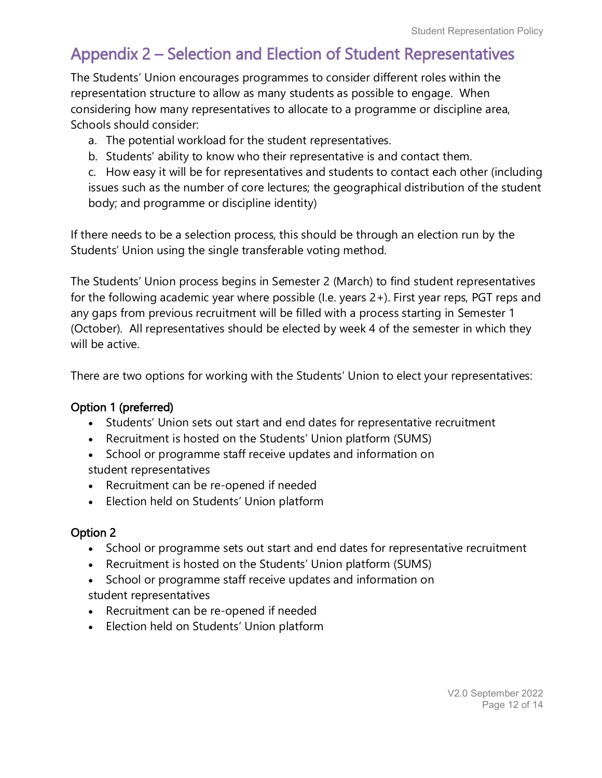## Appendix 2 – Selection and Election of Student Representatives

The Students' Union encourages programmes to consider different roles within the representation structure to allow as many students as possible to engage. When considering how many representatives to allocate to a programme or discipline area, Schools should consider:

- a. The potential workload for the student representatives.
- b. Students' ability to know who their representative is and contact them.

c. How easy it will be for representatives and students to contact each other (including issues such as the number of core lectures; the geographical distribution of the student body; and programme or discipline identity)

If there needs to be a selection process, this should be through an election run by the Students' Union using the single transferable voting method.

The Students' Union process begins in Semester 2 (March) to find student representatives for the following academic year where possible (I.e. years 2+). First year reps, PGT reps and any gaps from previous recruitment will be filled with a process starting in Semester 1 (October). All representatives should be elected by week 4 of the semester in which they will be active.

There are two options for working with the Students' Union to elect your representatives:

#### Option 1 (preferred)

- Students' Union sets out start and end dates for representative recruitment
- Recruitment is hosted on the Students' Union platform (SUMS)
- School or programme staff receive updates and information on student representatives
- Recruitment can be re-opened if needed
- Election held on Students' Union platform

## Option 2

- School or programme sets out start and end dates for representative recruitment
- Recruitment is hosted on the Students' Union platform (SUMS)
- School or programme staff receive updates and information on
- student representatives
- Recruitment can be re-opened if needed
- Election held on Students' Union platform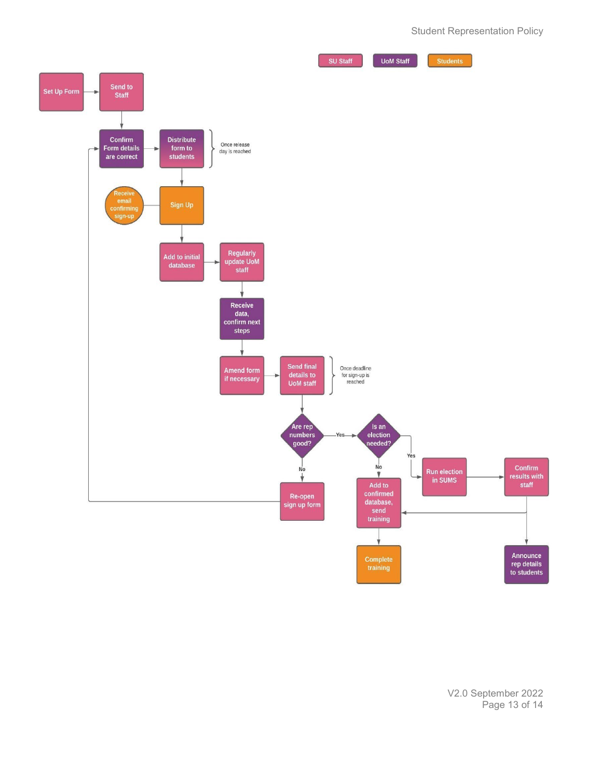